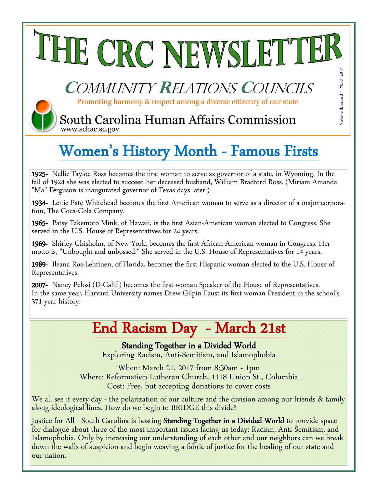# THE CRC NEWSLETTER

## **C**ommunity **R**elations **C**ouncils

Promoting harmony & respect among a diverse citizenry of our state

Volume II, Issue 3 \* March 2017

Volume II, Issue 3 \* March 2017

**(TI)** South Carolina Human Affairs Commission www.schac.sc.gov

## Women's History Month - Famous Firsts

1925- Nellie Tayloe Ross becomes the first woman to serve as governor of a state, in Wyoming. In the fall of 1924 she was elected to succeed her deceased husband, William Bradford Ross. (Miriam Amanda "Ma" Ferguson is inaugurated governor of Texas days later.)

1934- Lettie Pate Whitehead becomes the first American woman to serve as a director of a major corporation, The Coca-Cola Company.

1965- Patsy Takemoto Mink, of Hawaii, is the first Asian-American woman elected to Congress. She served in the U.S. House of Representatives for 24 years.

1969- Shirley Chisholm, of New York, becomes the first African-American woman in Congress. Her motto is, "Unbought and unbossed." She served in the U.S. House of Representatives for 14 years.

1989- Ileana Ros-Lehtinen, of Florida, becomes the first Hispanic woman elected to the U.S. House of Representatives.

2007- Nancy Pelosi (D-Calif.) becomes the first woman Speaker of the House of Representatives. In the same year, Harvard University names Drew Gilpin Faust its first woman President in the school's 371-year history.

### End Racism Day - March 21st

Standing Together in a Divided World

Exploring Racism, Anti-Semitism, and Islamophobia

When: March 21, 2017 from 8:30am - 1pm Where: Reformation Lutheran Church, 1118 Union St., Columbia Cost: Free, but accepting donations to cover costs

We all see it every day - the polarization of our culture and the division among our friends & family along ideological lines. How do we begin to BRIDGE this divide?

Justice for All - South Carolina is hosting Standing Together in a Divided World to provide space for dialogue about three of the most important issues facing us today: Racism, Anti-Semitism, and Islamophobia. Only by increasing our understanding of each other and our neighbors can we break down the walls of suspicion and begin weaving a fabric of justice for the healing of our state and our nation.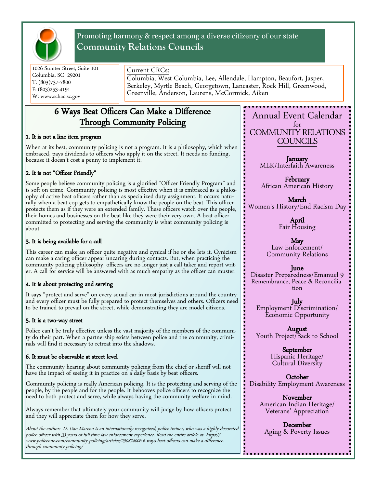

Promoting harmony & respect among a diverse citizenry of our state **Community Relations Councils**

1026 Sumter Street, Suite 101 Columbia, SC 29201 T: (803)737-7800 F: (803)253-4191 W: www.schac.sc.gov

#### Current CRCs:

Columbia, West Columbia, Lee, Allendale, Hampton, Beaufort, Jasper, Berkeley, Myrtle Beach, Georgetown, Lancaster, Rock Hill, Greenwood, Greenville, Anderson, Laurens, McCormick, Aiken

#### 6 Ways Beat Officers Can Make a Difference Through Community Policing

#### 1. It is not a line item program

 When at its best, community policing is not a program. It is a philosophy, which when embraced, pays dividends to officers who apply it on the street. It needs no funding, because it doesn't cost a penny to implement it.

#### 2. It is not "Officer Friendly"

Some people believe community policing is a glorified "Officer Friendly Program" and is soft on crime. Community policing is most effective when it is embraced as a philosophy of active beat officers rather than as specialized duty assignment. It occurs naturally when a beat cop gets to empathetically know the people on the beat. This officer protects them as if they were an extended family. These officers watch over the people, their homes and businesses on the beat like they were their very own. A beat officer committed to protecting and serving the community is what community policing is about.

#### 3. It is being available for a call

This career can make an officer quite negative and cynical if he or she lets it. Cynicism can make a caring officer appear uncaring during contacts. But, when practicing the community policing philosophy, officers are no longer just a call taker and report writer. A call for service will be answered with as much empathy as the officer can muster.

#### 4. It is about protecting and serving

It says "protect and serve" on every squad car in most jurisdictions around the country and every officer must be fully prepared to protect themselves and others. Officers need to be trained to prevail on the street, while demonstrating they are model citizens.

#### 5. It is a two-way street

Police can't be truly effective unless the vast majority of the members of the community do their part. When a partnership exists between police and the community, criminals will find it necessary to retreat into the shadows.

#### 6. It must be observable at street level

The community hearing about community policing from the chief or sheriff will not have the impact of seeing it in practice on a daily basis by beat officers.

Community policing is really American policing. It is the protecting and serving of the people, by the people and for the people. It behooves police officers to recognize the need to both protect and serve, while always having the community welfare in mind.

Always remember that ultimately your community will judge by how officers protect and they will appreciate them for how they serve.

About the author: Lt. Dan Marcou is an internationally-recognized, police trainer, who was a highly-decorated police officer with 33 years of full time law enforcement experience. Read the entire article at- https:// www.policeone.com/community-policing/articles/290874006-6-ways-beat-officers-can-make-a-differencethrough-community-policing/

Annual Event Calendar for COMMUNITY RELATIONS COUNCILS

> January MLK/Interfaith Awareness

February African American History

March Women's History/End Racism Day

> April Fair Housing

May Law Enforcement/ Community Relations

#### June

Disaster Preparedness/Emanuel 9 Remembrance, Peace & Reconciliation

July Employment Discrimination/ Economic Opportunity

August Youth Project/Back to School

> September Hispanic Heritage/ Cultural Diversity

October Disability Employment Awareness

> November American Indian Heritage/ Veterans' Appreciation

December Aging & Poverty Issues